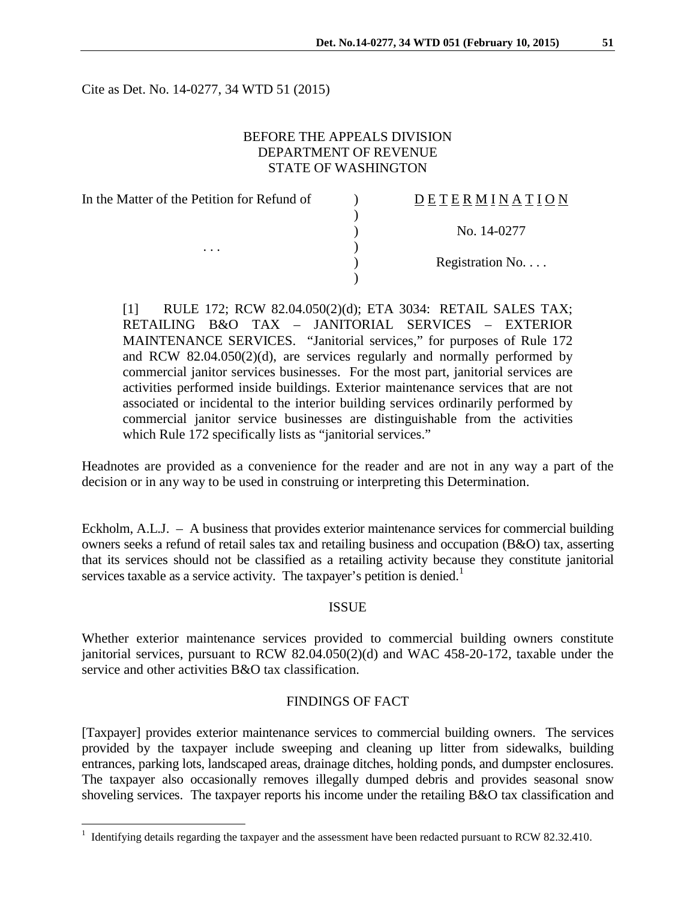Cite as Det. No. 14-0277, 34 WTD 51 (2015)

# BEFORE THE APPEALS DIVISION DEPARTMENT OF REVENUE STATE OF WASHINGTON

| In the Matter of the Petition for Refund of<br>$\cdots$ | <b>DETERMINATION</b> |
|---------------------------------------------------------|----------------------|
|                                                         |                      |
|                                                         | No. 14-0277          |
|                                                         |                      |
|                                                         | Registration No      |
|                                                         |                      |
|                                                         |                      |

[1] RULE 172; RCW 82.04.050(2)(d); ETA 3034: RETAIL SALES TAX; RETAILING B&O TAX – JANITORIAL SERVICES – EXTERIOR MAINTENANCE SERVICES. "Janitorial services," for purposes of Rule 172 and RCW 82.04.050(2)(d), are services regularly and normally performed by commercial janitor services businesses. For the most part, janitorial services are activities performed inside buildings. Exterior maintenance services that are not associated or incidental to the interior building services ordinarily performed by commercial janitor service businesses are distinguishable from the activities which Rule 172 specifically lists as "janitorial services."

Headnotes are provided as a convenience for the reader and are not in any way a part of the decision or in any way to be used in construing or interpreting this Determination.

Eckholm, A.L.J. – A business that provides exterior maintenance services for commercial building owners seeks a refund of retail sales tax and retailing business and occupation (B&O) tax, asserting that its services should not be classified as a retailing activity because they constitute janitorial services taxable as a service activity. The taxpayer's petition is denied.<sup>[1](#page-0-0)</sup>

### ISSUE

Whether exterior maintenance services provided to commercial building owners constitute janitorial services, pursuant to RCW 82.04.050(2)(d) and WAC 458-20-172, taxable under the service and other activities B&O tax classification.

## FINDINGS OF FACT

[Taxpayer] provides exterior maintenance services to commercial building owners. The services provided by the taxpayer include sweeping and cleaning up litter from sidewalks, building entrances, parking lots, landscaped areas, drainage ditches, holding ponds, and dumpster enclosures. The taxpayer also occasionally removes illegally dumped debris and provides seasonal snow shoveling services. The taxpayer reports his income under the retailing B&O tax classification and

 $\overline{a}$ 

<span id="page-0-0"></span><sup>&</sup>lt;sup>1</sup> Identifying details regarding the taxpayer and the assessment have been redacted pursuant to RCW 82.32.410.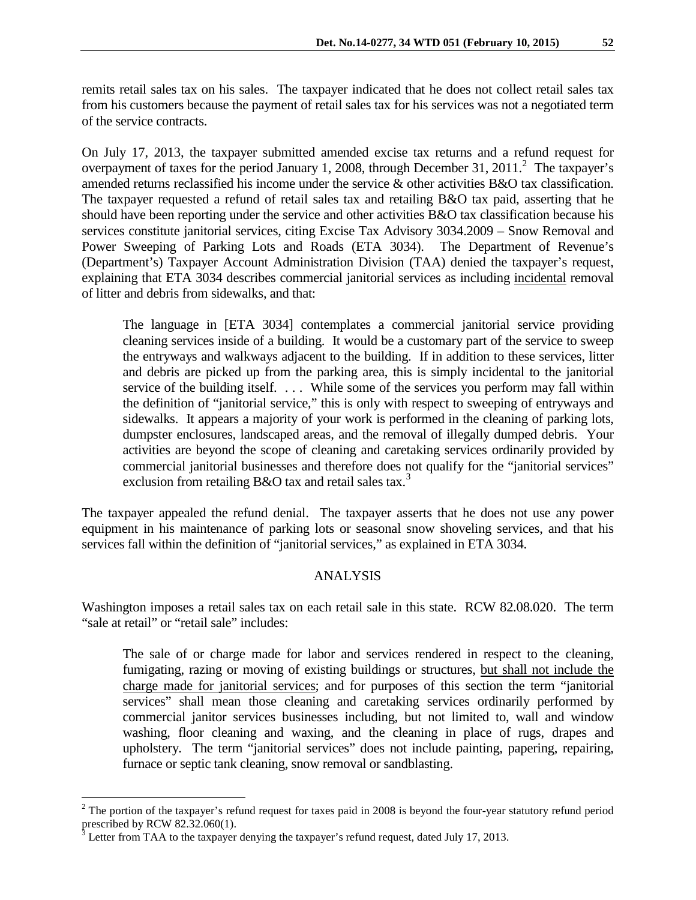remits retail sales tax on his sales. The taxpayer indicated that he does not collect retail sales tax from his customers because the payment of retail sales tax for his services was not a negotiated term of the service contracts.

On July 17, 2013, the taxpayer submitted amended excise tax returns and a refund request for overpayment of taxes for the period January 1, [2](#page-1-0)008, through December 31, 2011.<sup>2</sup> The taxpayer's amended returns reclassified his income under the service & other activities B&O tax classification. The taxpayer requested a refund of retail sales tax and retailing B&O tax paid, asserting that he should have been reporting under the service and other activities B&O tax classification because his services constitute janitorial services, citing Excise Tax Advisory 3034.2009 – Snow Removal and Power Sweeping of Parking Lots and Roads (ETA 3034). The Department of Revenue's (Department's) Taxpayer Account Administration Division (TAA) denied the taxpayer's request, explaining that ETA 3034 describes commercial janitorial services as including incidental removal of litter and debris from sidewalks, and that:

The language in [ETA 3034] contemplates a commercial janitorial service providing cleaning services inside of a building. It would be a customary part of the service to sweep the entryways and walkways adjacent to the building. If in addition to these services, litter and debris are picked up from the parking area, this is simply incidental to the janitorial service of the building itself. ... While some of the services you perform may fall within the definition of "janitorial service," this is only with respect to sweeping of entryways and sidewalks. It appears a majority of your work is performed in the cleaning of parking lots, dumpster enclosures, landscaped areas, and the removal of illegally dumped debris. Your activities are beyond the scope of cleaning and caretaking services ordinarily provided by commercial janitorial businesses and therefore does not qualify for the "janitorial services" exclusion from retailing B&O tax and retail sales tax.<sup>[3](#page-1-1)</sup>

The taxpayer appealed the refund denial. The taxpayer asserts that he does not use any power equipment in his maintenance of parking lots or seasonal snow shoveling services, and that his services fall within the definition of "janitorial services," as explained in ETA 3034.

### ANALYSIS

Washington imposes a retail sales tax on each retail sale in this state. RCW 82.08.020. The term "sale at retail" or "retail sale" includes:

The sale of or charge made for labor and services rendered in respect to the cleaning, fumigating, razing or moving of existing buildings or structures, but shall not include the charge made for janitorial services; and for purposes of this section the term "janitorial services" shall mean those cleaning and caretaking services ordinarily performed by commercial janitor services businesses including, but not limited to, wall and window washing, floor cleaning and waxing, and the cleaning in place of rugs, drapes and upholstery. The term "janitorial services" does not include painting, papering, repairing, furnace or septic tank cleaning, snow removal or sandblasting.

 $\overline{a}$ 

<span id="page-1-0"></span> $2$  The portion of the taxpayer's refund request for taxes paid in 2008 is beyond the four-year statutory refund period prescribed by RCW 82.32.060(1).

<span id="page-1-1"></span> $3$  Letter from TAA to the taxpayer denying the taxpayer's refund request, dated July 17, 2013.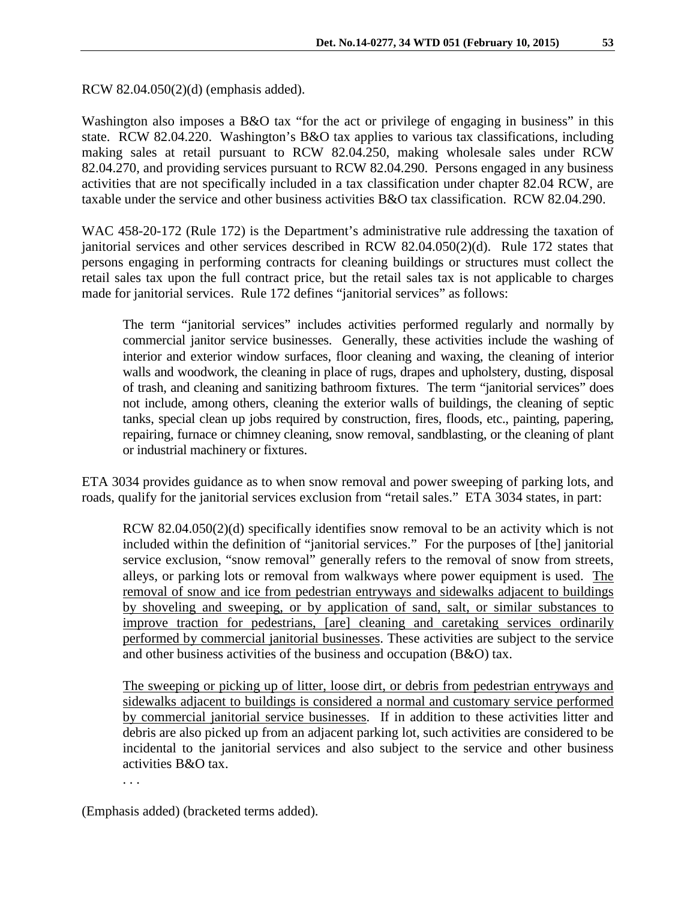RCW 82.04.050(2)(d) (emphasis added).

Washington also imposes a B&O tax "for the act or privilege of engaging in business" in this state. RCW 82.04.220. Washington's B&O tax applies to various tax classifications, including making sales at retail pursuant to RCW 82.04.250, making wholesale sales under RCW 82.04.270, and providing services pursuant to RCW 82.04.290. Persons engaged in any business activities that are not specifically included in a tax classification under chapter 82.04 RCW, are taxable under the service and other business activities B&O tax classification. RCW 82.04.290.

WAC 458-20-172 (Rule 172) is the Department's administrative rule addressing the taxation of janitorial services and other services described in RCW 82.04.050(2)(d). Rule 172 states that persons engaging in performing contracts for cleaning buildings or structures must collect the retail sales tax upon the full contract price, but the retail sales tax is not applicable to charges made for janitorial services. Rule 172 defines "janitorial services" as follows:

The term "janitorial services" includes activities performed regularly and normally by commercial janitor service businesses. Generally, these activities include the washing of interior and exterior window surfaces, floor cleaning and waxing, the cleaning of interior walls and woodwork, the cleaning in place of rugs, drapes and upholstery, dusting, disposal of trash, and cleaning and sanitizing bathroom fixtures. The term "janitorial services" does not include, among others, cleaning the exterior walls of buildings, the cleaning of septic tanks, special clean up jobs required by construction, fires, floods, etc., painting, papering, repairing, furnace or chimney cleaning, snow removal, sandblasting, or the cleaning of plant or industrial machinery or fixtures.

ETA 3034 provides guidance as to when snow removal and power sweeping of parking lots, and roads, qualify for the janitorial services exclusion from "retail sales." ETA 3034 states, in part:

RCW 82.04.050(2)(d) specifically identifies snow removal to be an activity which is not included within the definition of "janitorial services." For the purposes of [the] janitorial service exclusion, "snow removal" generally refers to the removal of snow from streets, alleys, or parking lots or removal from walkways where power equipment is used. The removal of snow and ice from pedestrian entryways and sidewalks adjacent to buildings by shoveling and sweeping, or by application of sand, salt, or similar substances to improve traction for pedestrians, [are] cleaning and caretaking services ordinarily performed by commercial janitorial businesses. These activities are subject to the service and other business activities of the business and occupation (B&O) tax.

The sweeping or picking up of litter, loose dirt, or debris from pedestrian entryways and sidewalks adjacent to buildings is considered a normal and customary service performed by commercial janitorial service businesses. If in addition to these activities litter and debris are also picked up from an adjacent parking lot, such activities are considered to be incidental to the janitorial services and also subject to the service and other business activities B&O tax.

. . .

(Emphasis added) (bracketed terms added).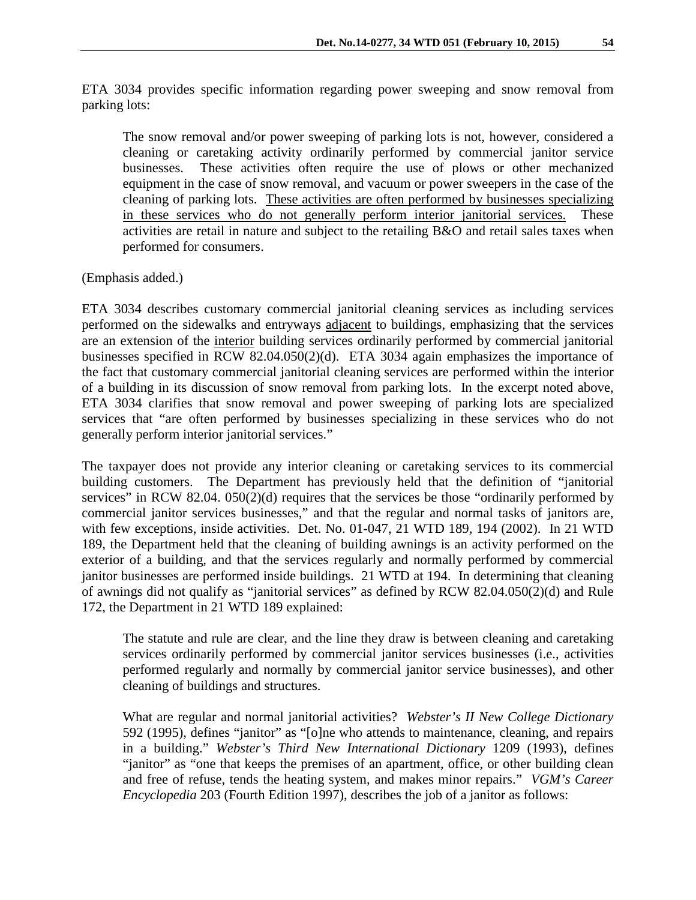ETA 3034 provides specific information regarding power sweeping and snow removal from parking lots:

The snow removal and/or power sweeping of parking lots is not, however, considered a cleaning or caretaking activity ordinarily performed by commercial janitor service businesses. These activities often require the use of plows or other mechanized equipment in the case of snow removal, and vacuum or power sweepers in the case of the cleaning of parking lots. These activities are often performed by businesses specializing in these services who do not generally perform interior janitorial services. These activities are retail in nature and subject to the retailing B&O and retail sales taxes when performed for consumers.

#### (Emphasis added.)

ETA 3034 describes customary commercial janitorial cleaning services as including services performed on the sidewalks and entryways adjacent to buildings, emphasizing that the services are an extension of the interior building services ordinarily performed by commercial janitorial businesses specified in RCW 82.04.050(2)(d). ETA 3034 again emphasizes the importance of the fact that customary commercial janitorial cleaning services are performed within the interior of a building in its discussion of snow removal from parking lots. In the excerpt noted above, ETA 3034 clarifies that snow removal and power sweeping of parking lots are specialized services that "are often performed by businesses specializing in these services who do not generally perform interior janitorial services."

The taxpayer does not provide any interior cleaning or caretaking services to its commercial building customers. The Department has previously held that the definition of "janitorial services" in RCW 82.04. 050(2)(d) requires that the services be those "ordinarily performed by commercial janitor services businesses," and that the regular and normal tasks of janitors are, with few exceptions, inside activities. Det. No. 01-047, 21 WTD 189, 194 (2002). In 21 WTD 189, the Department held that the cleaning of building awnings is an activity performed on the exterior of a building, and that the services regularly and normally performed by commercial janitor businesses are performed inside buildings. 21 WTD at 194. In determining that cleaning of awnings did not qualify as "janitorial services" as defined by RCW 82.04.050(2)(d) and Rule 172, the Department in 21 WTD 189 explained:

The statute and rule are clear, and the line they draw is between cleaning and caretaking services ordinarily performed by commercial janitor services businesses (i.e., activities performed regularly and normally by commercial janitor service businesses), and other cleaning of buildings and structures.

What are regular and normal janitorial activities? *Webster's II New College Dictionary* 592 (1995), defines "janitor" as "[o]ne who attends to maintenance, cleaning, and repairs in a building." *Webster's Third New International Dictionary* 1209 (1993), defines "janitor" as "one that keeps the premises of an apartment, office, or other building clean and free of refuse, tends the heating system, and makes minor repairs." *VGM's Career Encyclopedia* 203 (Fourth Edition 1997), describes the job of a janitor as follows: